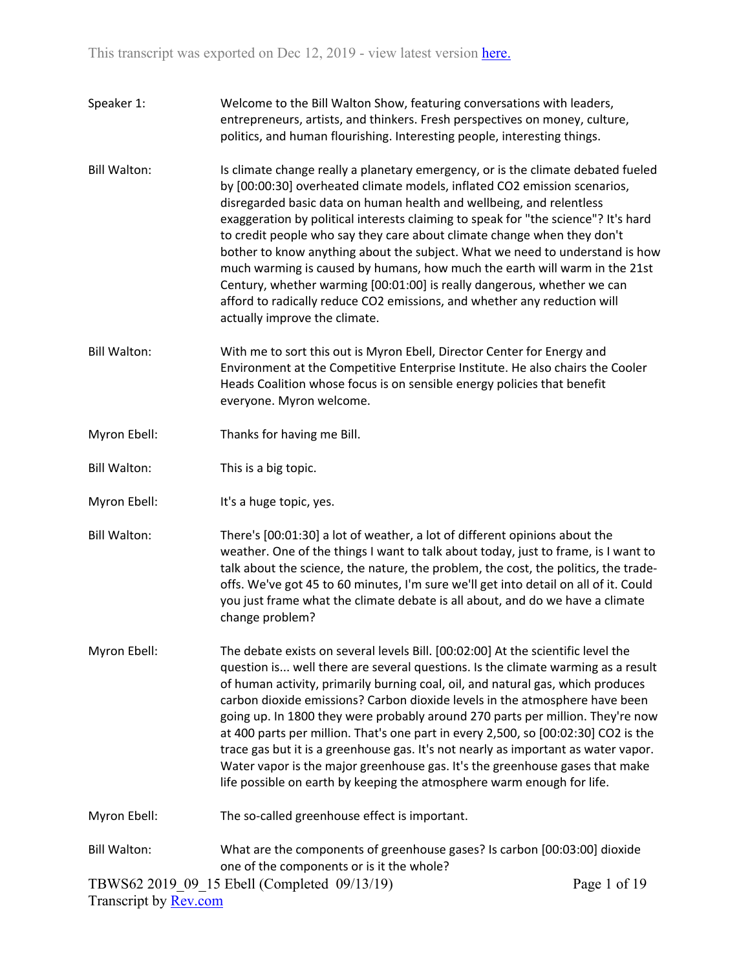| Speaker 1:            | Welcome to the Bill Walton Show, featuring conversations with leaders,<br>entrepreneurs, artists, and thinkers. Fresh perspectives on money, culture,<br>politics, and human flourishing. Interesting people, interesting things.                                                                                                                                                                                                                                                                                                                                                                                                                                                                                                                              |              |
|-----------------------|----------------------------------------------------------------------------------------------------------------------------------------------------------------------------------------------------------------------------------------------------------------------------------------------------------------------------------------------------------------------------------------------------------------------------------------------------------------------------------------------------------------------------------------------------------------------------------------------------------------------------------------------------------------------------------------------------------------------------------------------------------------|--------------|
| <b>Bill Walton:</b>   | Is climate change really a planetary emergency, or is the climate debated fueled<br>by [00:00:30] overheated climate models, inflated CO2 emission scenarios,<br>disregarded basic data on human health and wellbeing, and relentless<br>exaggeration by political interests claiming to speak for "the science"? It's hard<br>to credit people who say they care about climate change when they don't<br>bother to know anything about the subject. What we need to understand is how<br>much warming is caused by humans, how much the earth will warm in the 21st<br>Century, whether warming [00:01:00] is really dangerous, whether we can<br>afford to radically reduce CO2 emissions, and whether any reduction will<br>actually improve the climate.   |              |
| <b>Bill Walton:</b>   | With me to sort this out is Myron Ebell, Director Center for Energy and<br>Environment at the Competitive Enterprise Institute. He also chairs the Cooler<br>Heads Coalition whose focus is on sensible energy policies that benefit<br>everyone. Myron welcome.                                                                                                                                                                                                                                                                                                                                                                                                                                                                                               |              |
| Myron Ebell:          | Thanks for having me Bill.                                                                                                                                                                                                                                                                                                                                                                                                                                                                                                                                                                                                                                                                                                                                     |              |
| Bill Walton:          | This is a big topic.                                                                                                                                                                                                                                                                                                                                                                                                                                                                                                                                                                                                                                                                                                                                           |              |
| Myron Ebell:          | It's a huge topic, yes.                                                                                                                                                                                                                                                                                                                                                                                                                                                                                                                                                                                                                                                                                                                                        |              |
| <b>Bill Walton:</b>   | There's [00:01:30] a lot of weather, a lot of different opinions about the<br>weather. One of the things I want to talk about today, just to frame, is I want to<br>talk about the science, the nature, the problem, the cost, the politics, the trade-<br>offs. We've got 45 to 60 minutes, I'm sure we'll get into detail on all of it. Could<br>you just frame what the climate debate is all about, and do we have a climate<br>change problem?                                                                                                                                                                                                                                                                                                            |              |
| Myron Ebell:          | The debate exists on several levels Bill. [00:02:00] At the scientific level the<br>question is well there are several questions. Is the climate warming as a result<br>of human activity, primarily burning coal, oil, and natural gas, which produces<br>carbon dioxide emissions? Carbon dioxide levels in the atmosphere have been<br>going up. In 1800 they were probably around 270 parts per million. They're now<br>at 400 parts per million. That's one part in every 2,500, so [00:02:30] CO2 is the<br>trace gas but it is a greenhouse gas. It's not nearly as important as water vapor.<br>Water vapor is the major greenhouse gas. It's the greenhouse gases that make<br>life possible on earth by keeping the atmosphere warm enough for life. |              |
| Myron Ebell:          | The so-called greenhouse effect is important.                                                                                                                                                                                                                                                                                                                                                                                                                                                                                                                                                                                                                                                                                                                  |              |
| <b>Bill Walton:</b>   | What are the components of greenhouse gases? Is carbon [00:03:00] dioxide<br>one of the components or is it the whole?                                                                                                                                                                                                                                                                                                                                                                                                                                                                                                                                                                                                                                         |              |
| Transcript by Rev.com | TBWS62 2019 09 15 Ebell (Completed 09/13/19)                                                                                                                                                                                                                                                                                                                                                                                                                                                                                                                                                                                                                                                                                                                   | Page 1 of 19 |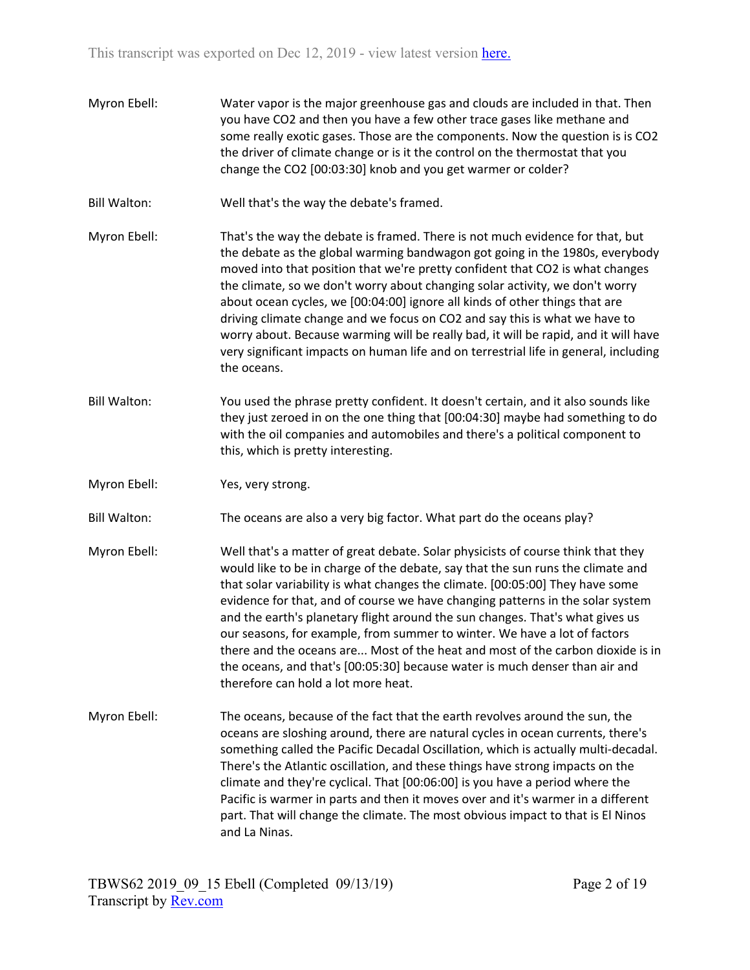Myron Ebell: Water vapor is the major greenhouse gas and clouds are included in that. Then you have CO2 and then you have a few other trace gases like methane and some really exotic gases. Those are the components. Now the question is is CO2 the driver of climate change or is it the control on the thermostat that you change the CO2 [00:03:30] knob and you get warmer or colder? Bill Walton: Well that's the way the debate's framed. Myron Ebell: That's the way the debate is framed. There is not much evidence for that, but the debate as the global warming bandwagon got going in the 1980s, everybody moved into that position that we're pretty confident that CO2 is what changes the climate, so we don't worry about changing solar activity, we don't worry about ocean cycles, we [00:04:00] ignore all kinds of other things that are driving climate change and we focus on CO2 and say this is what we have to worry about. Because warming will be really bad, it will be rapid, and it will have very significant impacts on human life and on terrestrial life in general, including the oceans. Bill Walton: You used the phrase pretty confident. It doesn't certain, and it also sounds like they just zeroed in on the one thing that [00:04:30] maybe had something to do with the oil companies and automobiles and there's a political component to this, which is pretty interesting. Myron Ebell: Yes, very strong. Bill Walton: The oceans are also a very big factor. What part do the oceans play? Myron Ebell: Well that's a matter of great debate. Solar physicists of course think that they would like to be in charge of the debate, say that the sun runs the climate and that solar variability is what changes the climate. [00:05:00] They have some evidence for that, and of course we have changing patterns in the solar system and the earth's planetary flight around the sun changes. That's what gives us our seasons, for example, from summer to winter. We have a lot of factors there and the oceans are... Most of the heat and most of the carbon dioxide is in the oceans, and that's [00:05:30] because water is much denser than air and therefore can hold a lot more heat. Myron Ebell: The oceans, because of the fact that the earth revolves around the sun, the oceans are sloshing around, there are natural cycles in ocean currents, there's something called the Pacific Decadal Oscillation, which is actually multi-decadal. There's the Atlantic oscillation, and these things have strong impacts on the climate and they're cyclical. That [00:06:00] is you have a period where the Pacific is warmer in parts and then it moves over and it's warmer in a different part. That will change the climate. The most obvious impact to that is El Ninos

and La Ninas.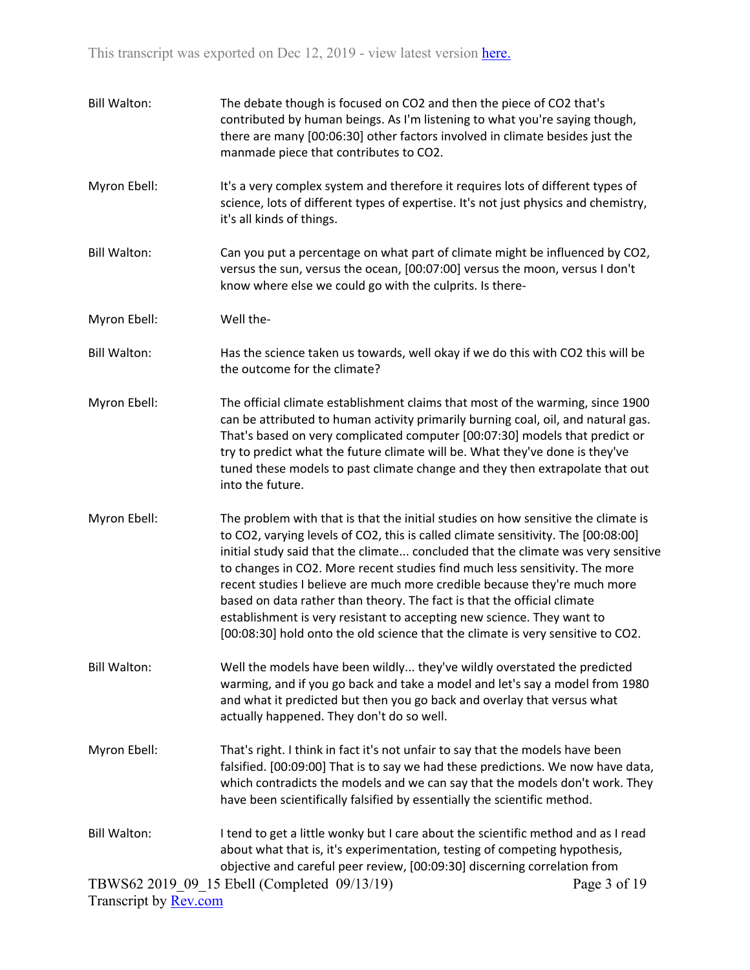| <b>Bill Walton:</b>   | The debate though is focused on CO2 and then the piece of CO2 that's<br>contributed by human beings. As I'm listening to what you're saying though,<br>there are many [00:06:30] other factors involved in climate besides just the<br>manmade piece that contributes to CO2.                                                                                                                                                                                                                                                                                                                                                                                   |  |
|-----------------------|-----------------------------------------------------------------------------------------------------------------------------------------------------------------------------------------------------------------------------------------------------------------------------------------------------------------------------------------------------------------------------------------------------------------------------------------------------------------------------------------------------------------------------------------------------------------------------------------------------------------------------------------------------------------|--|
| Myron Ebell:          | It's a very complex system and therefore it requires lots of different types of<br>science, lots of different types of expertise. It's not just physics and chemistry,<br>it's all kinds of things.                                                                                                                                                                                                                                                                                                                                                                                                                                                             |  |
| <b>Bill Walton:</b>   | Can you put a percentage on what part of climate might be influenced by CO2,<br>versus the sun, versus the ocean, [00:07:00] versus the moon, versus I don't<br>know where else we could go with the culprits. Is there-                                                                                                                                                                                                                                                                                                                                                                                                                                        |  |
| Myron Ebell:          | Well the-                                                                                                                                                                                                                                                                                                                                                                                                                                                                                                                                                                                                                                                       |  |
| <b>Bill Walton:</b>   | Has the science taken us towards, well okay if we do this with CO2 this will be<br>the outcome for the climate?                                                                                                                                                                                                                                                                                                                                                                                                                                                                                                                                                 |  |
| Myron Ebell:          | The official climate establishment claims that most of the warming, since 1900<br>can be attributed to human activity primarily burning coal, oil, and natural gas.<br>That's based on very complicated computer [00:07:30] models that predict or<br>try to predict what the future climate will be. What they've done is they've<br>tuned these models to past climate change and they then extrapolate that out<br>into the future.                                                                                                                                                                                                                          |  |
| Myron Ebell:          | The problem with that is that the initial studies on how sensitive the climate is<br>to CO2, varying levels of CO2, this is called climate sensitivity. The [00:08:00]<br>initial study said that the climate concluded that the climate was very sensitive<br>to changes in CO2. More recent studies find much less sensitivity. The more<br>recent studies I believe are much more credible because they're much more<br>based on data rather than theory. The fact is that the official climate<br>establishment is very resistant to accepting new science. They want to<br>[00:08:30] hold onto the old science that the climate is very sensitive to CO2. |  |
| <b>Bill Walton:</b>   | Well the models have been wildly they've wildly overstated the predicted<br>warming, and if you go back and take a model and let's say a model from 1980<br>and what it predicted but then you go back and overlay that versus what<br>actually happened. They don't do so well.                                                                                                                                                                                                                                                                                                                                                                                |  |
| Myron Ebell:          | That's right. I think in fact it's not unfair to say that the models have been<br>falsified. [00:09:00] That is to say we had these predictions. We now have data,<br>which contradicts the models and we can say that the models don't work. They<br>have been scientifically falsified by essentially the scientific method.                                                                                                                                                                                                                                                                                                                                  |  |
| <b>Bill Walton:</b>   | I tend to get a little wonky but I care about the scientific method and as I read<br>about what that is, it's experimentation, testing of competing hypothesis,<br>objective and careful peer review, [00:09:30] discerning correlation from                                                                                                                                                                                                                                                                                                                                                                                                                    |  |
|                       | TBWS62 2019 09 15 Ebell (Completed 09/13/19)<br>Page 3 of 19                                                                                                                                                                                                                                                                                                                                                                                                                                                                                                                                                                                                    |  |
| Transcript by Rev.com |                                                                                                                                                                                                                                                                                                                                                                                                                                                                                                                                                                                                                                                                 |  |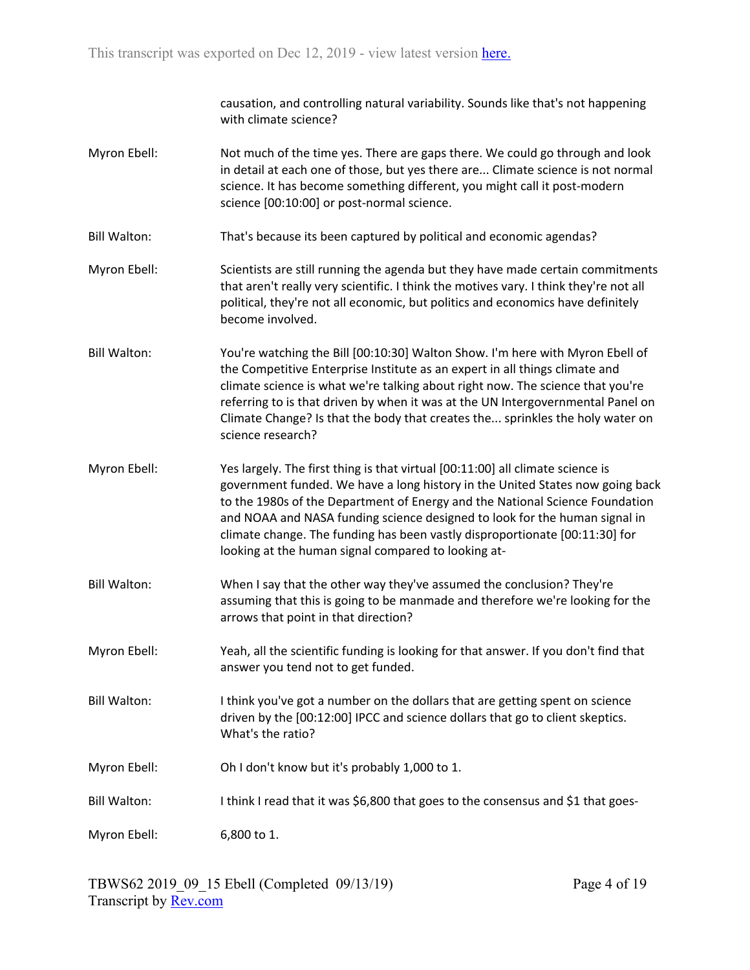causation, and controlling natural variability. Sounds like that's not happening with climate science?

- Myron Ebell: Not much of the time yes. There are gaps there. We could go through and look in detail at each one of those, but yes there are... Climate science is not normal science. It has become something different, you might call it post-modern science [00:10:00] or post-normal science.
- Bill Walton: That's because its been captured by political and economic agendas?
- Myron Ebell: Scientists are still running the agenda but they have made certain commitments that aren't really very scientific. I think the motives vary. I think they're not all political, they're not all economic, but politics and economics have definitely become involved.
- Bill Walton: You're watching the Bill [00:10:30] Walton Show. I'm here with Myron Ebell of the Competitive Enterprise Institute as an expert in all things climate and climate science is what we're talking about right now. The science that you're referring to is that driven by when it was at the UN Intergovernmental Panel on Climate Change? Is that the body that creates the... sprinkles the holy water on science research?
- Myron Ebell: Yes largely. The first thing is that virtual [00:11:00] all climate science is government funded. We have a long history in the United States now going back to the 1980s of the Department of Energy and the National Science Foundation and NOAA and NASA funding science designed to look for the human signal in climate change. The funding has been vastly disproportionate [00:11:30] for looking at the human signal compared to looking at-
- Bill Walton: When I say that the other way they've assumed the conclusion? They're assuming that this is going to be manmade and therefore we're looking for the arrows that point in that direction?
- Myron Ebell: Yeah, all the scientific funding is looking for that answer. If you don't find that answer you tend not to get funded.
- Bill Walton: I think you've got a number on the dollars that are getting spent on science driven by the [00:12:00] IPCC and science dollars that go to client skeptics. What's the ratio?
- Myron Ebell: Oh I don't know but it's probably 1,000 to 1.
- Bill Walton: I think I read that it was \$6,800 that goes to the consensus and \$1 that goes-

Myron Ebell: 6,800 to 1.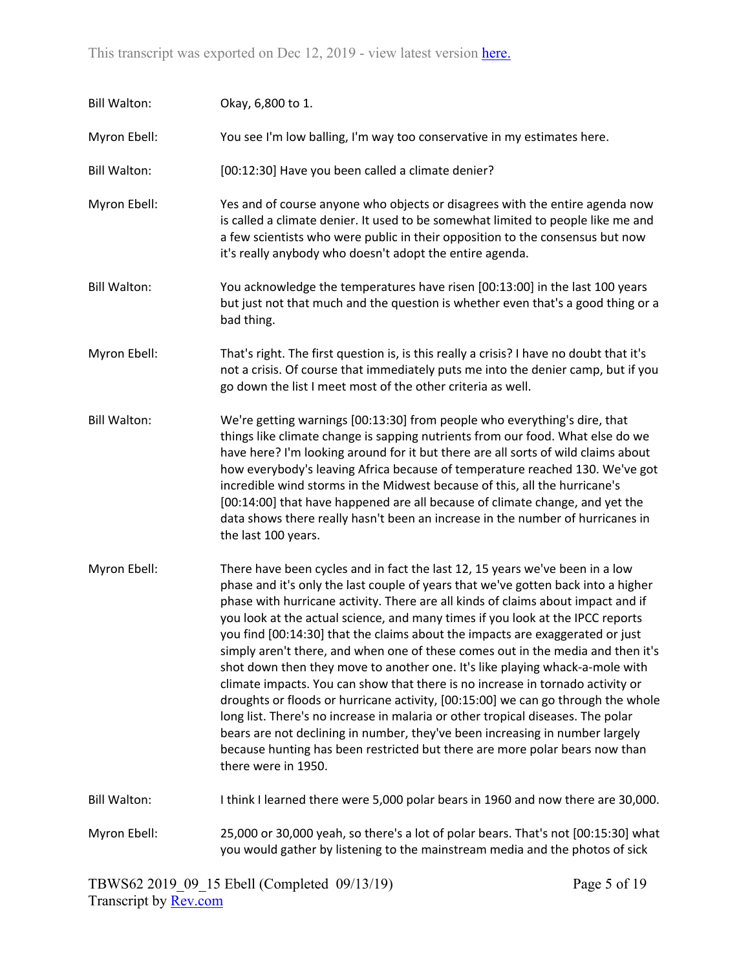| <b>Bill Walton:</b> | Okay, 6,800 to 1.                                                                                                                                                                                                                                                                                                                                                                                                                                                                                                                                                                                                                                                                                                                                                                                                                                                                                                                                                                                                                          |
|---------------------|--------------------------------------------------------------------------------------------------------------------------------------------------------------------------------------------------------------------------------------------------------------------------------------------------------------------------------------------------------------------------------------------------------------------------------------------------------------------------------------------------------------------------------------------------------------------------------------------------------------------------------------------------------------------------------------------------------------------------------------------------------------------------------------------------------------------------------------------------------------------------------------------------------------------------------------------------------------------------------------------------------------------------------------------|
| Myron Ebell:        | You see I'm low balling, I'm way too conservative in my estimates here.                                                                                                                                                                                                                                                                                                                                                                                                                                                                                                                                                                                                                                                                                                                                                                                                                                                                                                                                                                    |
| <b>Bill Walton:</b> | [00:12:30] Have you been called a climate denier?                                                                                                                                                                                                                                                                                                                                                                                                                                                                                                                                                                                                                                                                                                                                                                                                                                                                                                                                                                                          |
| Myron Ebell:        | Yes and of course anyone who objects or disagrees with the entire agenda now<br>is called a climate denier. It used to be somewhat limited to people like me and<br>a few scientists who were public in their opposition to the consensus but now<br>it's really anybody who doesn't adopt the entire agenda.                                                                                                                                                                                                                                                                                                                                                                                                                                                                                                                                                                                                                                                                                                                              |
| <b>Bill Walton:</b> | You acknowledge the temperatures have risen [00:13:00] in the last 100 years<br>but just not that much and the question is whether even that's a good thing or a<br>bad thing.                                                                                                                                                                                                                                                                                                                                                                                                                                                                                                                                                                                                                                                                                                                                                                                                                                                             |
| Myron Ebell:        | That's right. The first question is, is this really a crisis? I have no doubt that it's<br>not a crisis. Of course that immediately puts me into the denier camp, but if you<br>go down the list I meet most of the other criteria as well.                                                                                                                                                                                                                                                                                                                                                                                                                                                                                                                                                                                                                                                                                                                                                                                                |
| <b>Bill Walton:</b> | We're getting warnings [00:13:30] from people who everything's dire, that<br>things like climate change is sapping nutrients from our food. What else do we<br>have here? I'm looking around for it but there are all sorts of wild claims about<br>how everybody's leaving Africa because of temperature reached 130. We've got<br>incredible wind storms in the Midwest because of this, all the hurricane's<br>[00:14:00] that have happened are all because of climate change, and yet the<br>data shows there really hasn't been an increase in the number of hurricanes in<br>the last 100 years.                                                                                                                                                                                                                                                                                                                                                                                                                                    |
| Myron Ebell:        | There have been cycles and in fact the last 12, 15 years we've been in a low<br>phase and it's only the last couple of years that we've gotten back into a higher<br>phase with hurricane activity. There are all kinds of claims about impact and if<br>you look at the actual science, and many times if you look at the IPCC reports<br>you find [00:14:30] that the claims about the impacts are exaggerated or just<br>simply aren't there, and when one of these comes out in the media and then it's<br>shot down then they move to another one. It's like playing whack-a-mole with<br>climate impacts. You can show that there is no increase in tornado activity or<br>droughts or floods or hurricane activity, [00:15:00] we can go through the whole<br>long list. There's no increase in malaria or other tropical diseases. The polar<br>bears are not declining in number, they've been increasing in number largely<br>because hunting has been restricted but there are more polar bears now than<br>there were in 1950. |
| <b>Bill Walton:</b> | I think I learned there were 5,000 polar bears in 1960 and now there are 30,000.                                                                                                                                                                                                                                                                                                                                                                                                                                                                                                                                                                                                                                                                                                                                                                                                                                                                                                                                                           |
| Myron Ebell:        | 25,000 or 30,000 yeah, so there's a lot of polar bears. That's not [00:15:30] what<br>you would gather by listening to the mainstream media and the photos of sick                                                                                                                                                                                                                                                                                                                                                                                                                                                                                                                                                                                                                                                                                                                                                                                                                                                                         |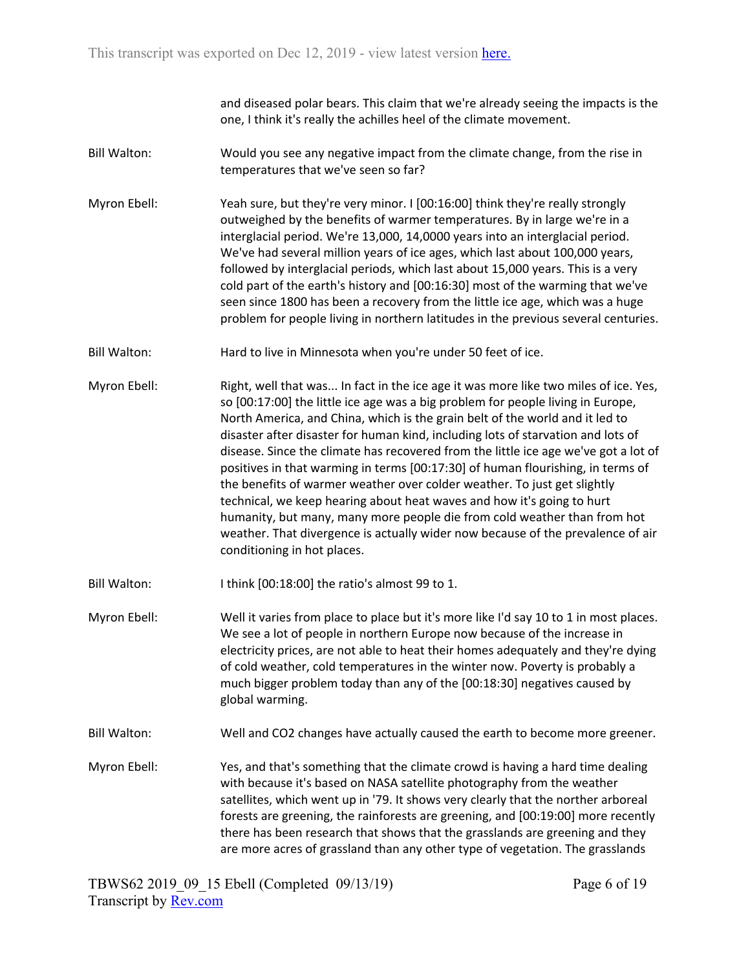and diseased polar bears. This claim that we're already seeing the impacts is the one, I think it's really the achilles heel of the climate movement.

- Bill Walton: Would you see any negative impact from the climate change, from the rise in temperatures that we've seen so far?
- Myron Ebell: Yeah sure, but they're very minor. I [00:16:00] think they're really strongly outweighed by the benefits of warmer temperatures. By in large we're in a interglacial period. We're 13,000, 14,0000 years into an interglacial period. We've had several million years of ice ages, which last about 100,000 years, followed by interglacial periods, which last about 15,000 years. This is a very cold part of the earth's history and [00:16:30] most of the warming that we've seen since 1800 has been a recovery from the little ice age, which was a huge problem for people living in northern latitudes in the previous several centuries.
- Bill Walton: Hard to live in Minnesota when you're under 50 feet of ice.
- Myron Ebell: Right, well that was... In fact in the ice age it was more like two miles of ice. Yes, so [00:17:00] the little ice age was a big problem for people living in Europe, North America, and China, which is the grain belt of the world and it led to disaster after disaster for human kind, including lots of starvation and lots of disease. Since the climate has recovered from the little ice age we've got a lot of positives in that warming in terms [00:17:30] of human flourishing, in terms of the benefits of warmer weather over colder weather. To just get slightly technical, we keep hearing about heat waves and how it's going to hurt humanity, but many, many more people die from cold weather than from hot weather. That divergence is actually wider now because of the prevalence of air conditioning in hot places.
- Bill Walton: I think [00:18:00] the ratio's almost 99 to 1.
- Myron Ebell: Well it varies from place to place but it's more like I'd say 10 to 1 in most places. We see a lot of people in northern Europe now because of the increase in electricity prices, are not able to heat their homes adequately and they're dying of cold weather, cold temperatures in the winter now. Poverty is probably a much bigger problem today than any of the [00:18:30] negatives caused by global warming.
- Bill Walton: Well and CO2 changes have actually caused the earth to become more greener.
- Myron Ebell: Yes, and that's something that the climate crowd is having a hard time dealing with because it's based on NASA satellite photography from the weather satellites, which went up in '79. It shows very clearly that the norther arboreal forests are greening, the rainforests are greening, and [00:19:00] more recently there has been research that shows that the grasslands are greening and they are more acres of grassland than any other type of vegetation. The grasslands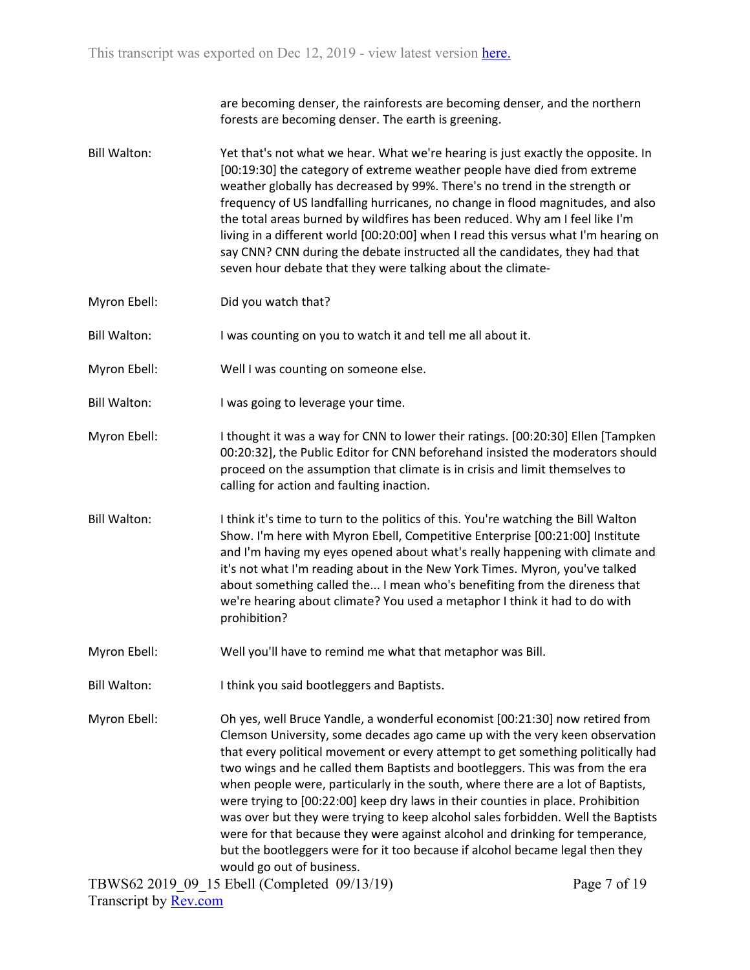are becoming denser, the rainforests are becoming denser, and the northern forests are becoming denser. The earth is greening.

- Bill Walton: Yet that's not what we hear. What we're hearing is just exactly the opposite. In [00:19:30] the category of extreme weather people have died from extreme weather globally has decreased by 99%. There's no trend in the strength or frequency of US landfalling hurricanes, no change in flood magnitudes, and also the total areas burned by wildfires has been reduced. Why am I feel like I'm living in a different world [00:20:00] when I read this versus what I'm hearing on say CNN? CNN during the debate instructed all the candidates, they had that seven hour debate that they were talking about the climate-
- Myron Ebell: Did you watch that?
- Bill Walton: I was counting on you to watch it and tell me all about it.
- Myron Ebell: Well I was counting on someone else.
- Bill Walton: I was going to leverage your time.
- Myron Ebell: I thought it was a way for CNN to lower their ratings. [00:20:30] Ellen [Tampken 00:20:32], the Public Editor for CNN beforehand insisted the moderators should proceed on the assumption that climate is in crisis and limit themselves to calling for action and faulting inaction.
- Bill Walton: I think it's time to turn to the politics of this. You're watching the Bill Walton Show. I'm here with Myron Ebell, Competitive Enterprise [00:21:00] Institute and I'm having my eyes opened about what's really happening with climate and it's not what I'm reading about in the New York Times. Myron, you've talked about something called the... I mean who's benefiting from the direness that we're hearing about climate? You used a metaphor I think it had to do with prohibition?
- Myron Ebell: Well you'll have to remind me what that metaphor was Bill.
- Bill Walton: I think you said bootleggers and Baptists.
- Myron Ebell: Oh yes, well Bruce Yandle, a wonderful economist [00:21:30] now retired from Clemson University, some decades ago came up with the very keen observation that every political movement or every attempt to get something politically had two wings and he called them Baptists and bootleggers. This was from the era when people were, particularly in the south, where there are a lot of Baptists, were trying to [00:22:00] keep dry laws in their counties in place. Prohibition was over but they were trying to keep alcohol sales forbidden. Well the Baptists were for that because they were against alcohol and drinking for temperance, but the bootleggers were for it too because if alcohol became legal then they would go out of business.

TBWS62 2019\_09\_15 Ebell (Completed 09/13/19) Transcript by [Rev.com](https://www.rev.com/)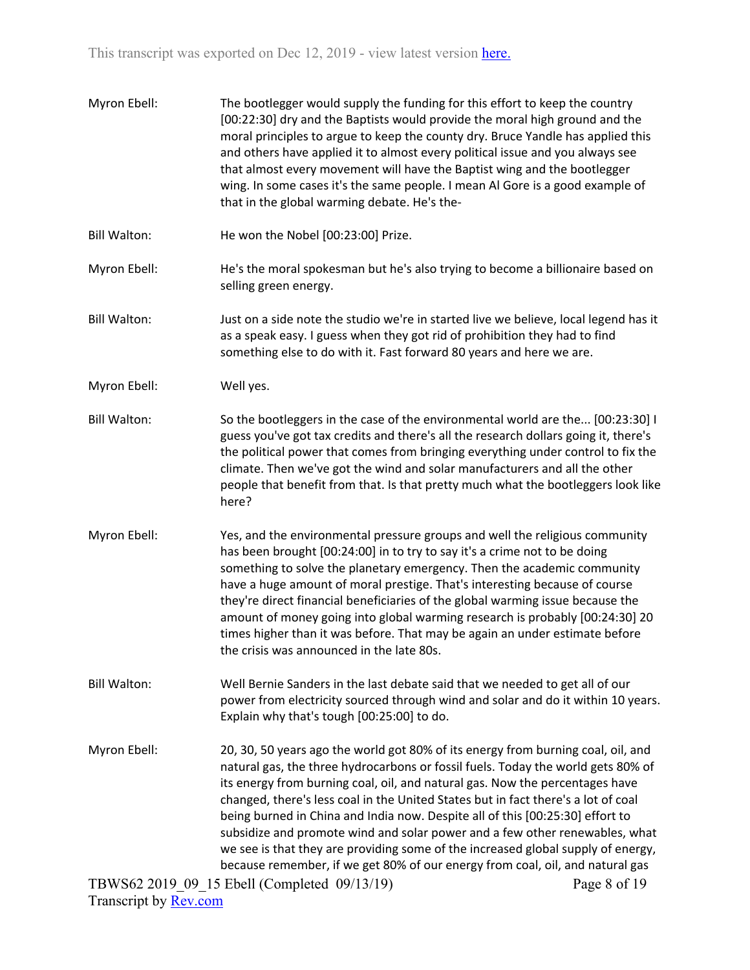| Myron Ebell:        | The bootlegger would supply the funding for this effort to keep the country<br>[00:22:30] dry and the Baptists would provide the moral high ground and the<br>moral principles to argue to keep the county dry. Bruce Yandle has applied this<br>and others have applied it to almost every political issue and you always see<br>that almost every movement will have the Baptist wing and the bootlegger<br>wing. In some cases it's the same people. I mean Al Gore is a good example of<br>that in the global warming debate. He's the-                                                                                                                                    |
|---------------------|--------------------------------------------------------------------------------------------------------------------------------------------------------------------------------------------------------------------------------------------------------------------------------------------------------------------------------------------------------------------------------------------------------------------------------------------------------------------------------------------------------------------------------------------------------------------------------------------------------------------------------------------------------------------------------|
| <b>Bill Walton:</b> | He won the Nobel [00:23:00] Prize.                                                                                                                                                                                                                                                                                                                                                                                                                                                                                                                                                                                                                                             |
| Myron Ebell:        | He's the moral spokesman but he's also trying to become a billionaire based on<br>selling green energy.                                                                                                                                                                                                                                                                                                                                                                                                                                                                                                                                                                        |
| <b>Bill Walton:</b> | Just on a side note the studio we're in started live we believe, local legend has it<br>as a speak easy. I guess when they got rid of prohibition they had to find<br>something else to do with it. Fast forward 80 years and here we are.                                                                                                                                                                                                                                                                                                                                                                                                                                     |
| Myron Ebell:        | Well yes.                                                                                                                                                                                                                                                                                                                                                                                                                                                                                                                                                                                                                                                                      |
| <b>Bill Walton:</b> | So the bootleggers in the case of the environmental world are the [00:23:30] I<br>guess you've got tax credits and there's all the research dollars going it, there's<br>the political power that comes from bringing everything under control to fix the<br>climate. Then we've got the wind and solar manufacturers and all the other<br>people that benefit from that. Is that pretty much what the bootleggers look like<br>here?                                                                                                                                                                                                                                          |
| Myron Ebell:        | Yes, and the environmental pressure groups and well the religious community<br>has been brought [00:24:00] in to try to say it's a crime not to be doing<br>something to solve the planetary emergency. Then the academic community<br>have a huge amount of moral prestige. That's interesting because of course<br>they're direct financial beneficiaries of the global warming issue because the<br>amount of money going into global warming research is probably [00:24:30] 20<br>times higher than it was before. That may be again an under estimate before<br>the crisis was announced in the late 80s.                                                                |
| <b>Bill Walton:</b> | Well Bernie Sanders in the last debate said that we needed to get all of our<br>power from electricity sourced through wind and solar and do it within 10 years.<br>Explain why that's tough [00:25:00] to do.                                                                                                                                                                                                                                                                                                                                                                                                                                                                 |
| Myron Ebell:        | 20, 30, 50 years ago the world got 80% of its energy from burning coal, oil, and<br>natural gas, the three hydrocarbons or fossil fuels. Today the world gets 80% of<br>its energy from burning coal, oil, and natural gas. Now the percentages have<br>changed, there's less coal in the United States but in fact there's a lot of coal<br>being burned in China and India now. Despite all of this [00:25:30] effort to<br>subsidize and promote wind and solar power and a few other renewables, what<br>we see is that they are providing some of the increased global supply of energy,<br>because remember, if we get 80% of our energy from coal, oil, and natural gas |
|                     | TBWS62 2019 09 15 Ebell (Completed 09/13/19)<br>Page 8 of 19                                                                                                                                                                                                                                                                                                                                                                                                                                                                                                                                                                                                                   |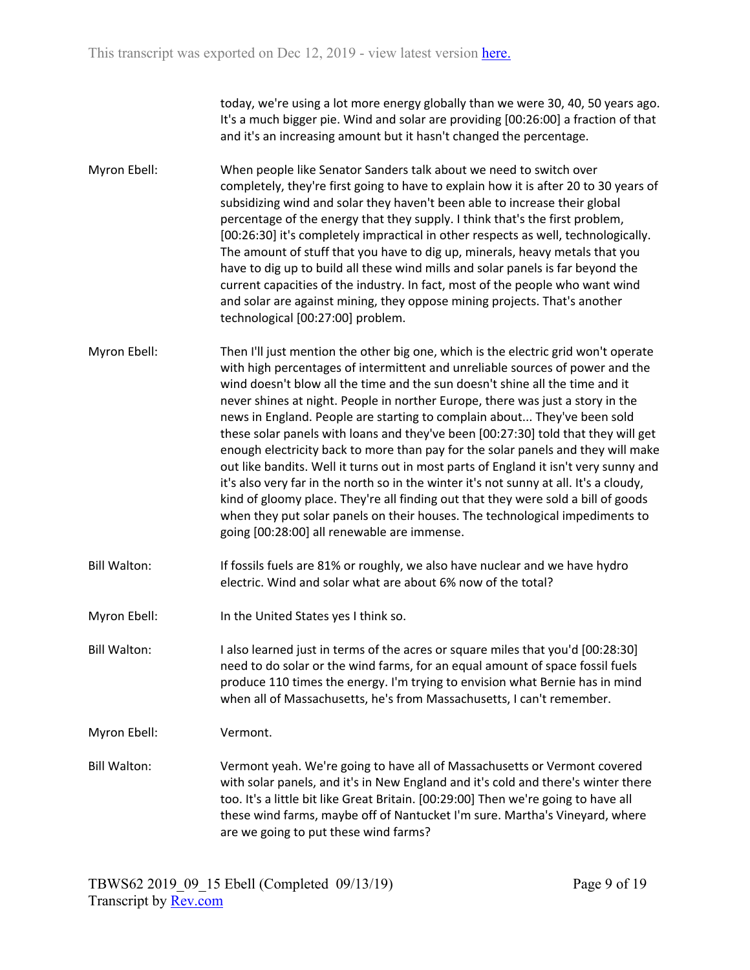today, we're using a lot more energy globally than we were 30, 40, 50 years ago. It's a much bigger pie. Wind and solar are providing [00:26:00] a fraction of that and it's an increasing amount but it hasn't changed the percentage.

- Myron Ebell: When people like Senator Sanders talk about we need to switch over completely, they're first going to have to explain how it is after 20 to 30 years of subsidizing wind and solar they haven't been able to increase their global percentage of the energy that they supply. I think that's the first problem, [00:26:30] it's completely impractical in other respects as well, technologically. The amount of stuff that you have to dig up, minerals, heavy metals that you have to dig up to build all these wind mills and solar panels is far beyond the current capacities of the industry. In fact, most of the people who want wind and solar are against mining, they oppose mining projects. That's another technological [00:27:00] problem.
- Myron Ebell: Then I'll just mention the other big one, which is the electric grid won't operate with high percentages of intermittent and unreliable sources of power and the wind doesn't blow all the time and the sun doesn't shine all the time and it never shines at night. People in norther Europe, there was just a story in the news in England. People are starting to complain about... They've been sold these solar panels with loans and they've been [00:27:30] told that they will get enough electricity back to more than pay for the solar panels and they will make out like bandits. Well it turns out in most parts of England it isn't very sunny and it's also very far in the north so in the winter it's not sunny at all. It's a cloudy, kind of gloomy place. They're all finding out that they were sold a bill of goods when they put solar panels on their houses. The technological impediments to going [00:28:00] all renewable are immense.
- Bill Walton: If fossils fuels are 81% or roughly, we also have nuclear and we have hydro electric. Wind and solar what are about 6% now of the total?
- Myron Ebell: In the United States yes I think so.
- Bill Walton: I also learned just in terms of the acres or square miles that you'd [00:28:30] need to do solar or the wind farms, for an equal amount of space fossil fuels produce 110 times the energy. I'm trying to envision what Bernie has in mind when all of Massachusetts, he's from Massachusetts, I can't remember.
- Myron Ebell: Vermont.
- Bill Walton: Vermont yeah. We're going to have all of Massachusetts or Vermont covered with solar panels, and it's in New England and it's cold and there's winter there too. It's a little bit like Great Britain. [00:29:00] Then we're going to have all these wind farms, maybe off of Nantucket I'm sure. Martha's Vineyard, where are we going to put these wind farms?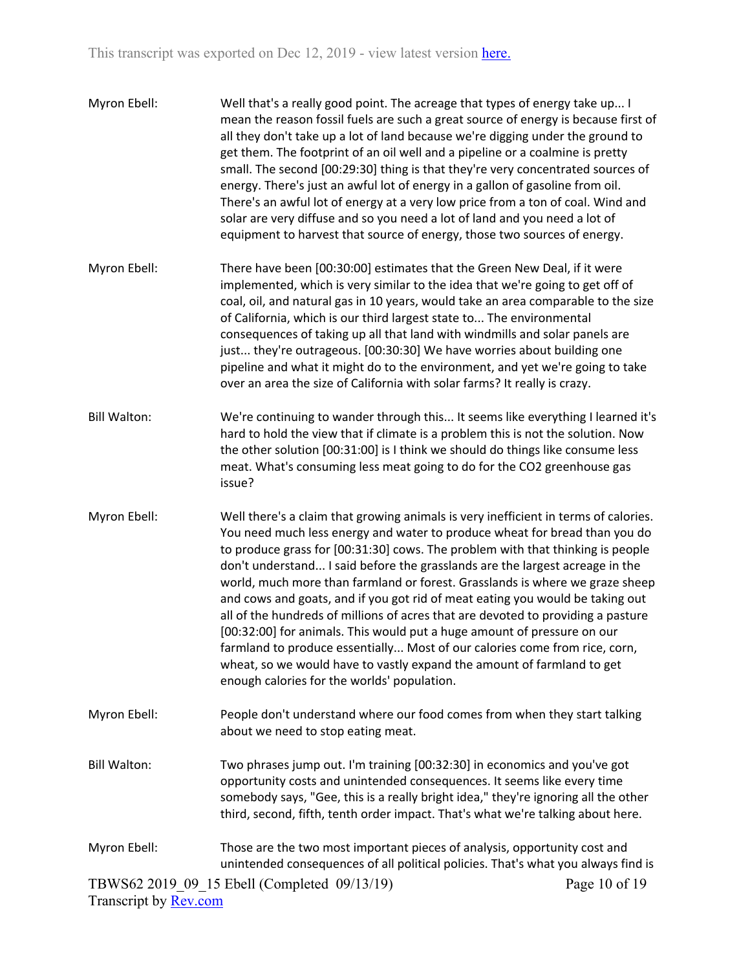| Myron Ebell:          | Well that's a really good point. The acreage that types of energy take up I<br>mean the reason fossil fuels are such a great source of energy is because first of<br>all they don't take up a lot of land because we're digging under the ground to<br>get them. The footprint of an oil well and a pipeline or a coalmine is pretty<br>small. The second [00:29:30] thing is that they're very concentrated sources of<br>energy. There's just an awful lot of energy in a gallon of gasoline from oil.<br>There's an awful lot of energy at a very low price from a ton of coal. Wind and<br>solar are very diffuse and so you need a lot of land and you need a lot of<br>equipment to harvest that source of energy, those two sources of energy.                                                                                                                      |               |
|-----------------------|----------------------------------------------------------------------------------------------------------------------------------------------------------------------------------------------------------------------------------------------------------------------------------------------------------------------------------------------------------------------------------------------------------------------------------------------------------------------------------------------------------------------------------------------------------------------------------------------------------------------------------------------------------------------------------------------------------------------------------------------------------------------------------------------------------------------------------------------------------------------------|---------------|
| Myron Ebell:          | There have been [00:30:00] estimates that the Green New Deal, if it were<br>implemented, which is very similar to the idea that we're going to get off of<br>coal, oil, and natural gas in 10 years, would take an area comparable to the size<br>of California, which is our third largest state to The environmental<br>consequences of taking up all that land with windmills and solar panels are<br>just they're outrageous. [00:30:30] We have worries about building one<br>pipeline and what it might do to the environment, and yet we're going to take<br>over an area the size of California with solar farms? It really is crazy.                                                                                                                                                                                                                              |               |
| <b>Bill Walton:</b>   | We're continuing to wander through this It seems like everything I learned it's<br>hard to hold the view that if climate is a problem this is not the solution. Now<br>the other solution [00:31:00] is I think we should do things like consume less<br>meat. What's consuming less meat going to do for the CO2 greenhouse gas<br>issue?                                                                                                                                                                                                                                                                                                                                                                                                                                                                                                                                 |               |
| Myron Ebell:          | Well there's a claim that growing animals is very inefficient in terms of calories.<br>You need much less energy and water to produce wheat for bread than you do<br>to produce grass for [00:31:30] cows. The problem with that thinking is people<br>don't understand I said before the grasslands are the largest acreage in the<br>world, much more than farmland or forest. Grasslands is where we graze sheep<br>and cows and goats, and if you got rid of meat eating you would be taking out<br>all of the hundreds of millions of acres that are devoted to providing a pasture<br>[00:32:00] for animals. This would put a huge amount of pressure on our<br>farmland to produce essentially Most of our calories come from rice, corn,<br>wheat, so we would have to vastly expand the amount of farmland to get<br>enough calories for the worlds' population. |               |
| Myron Ebell:          | People don't understand where our food comes from when they start talking<br>about we need to stop eating meat.                                                                                                                                                                                                                                                                                                                                                                                                                                                                                                                                                                                                                                                                                                                                                            |               |
| <b>Bill Walton:</b>   | Two phrases jump out. I'm training [00:32:30] in economics and you've got<br>opportunity costs and unintended consequences. It seems like every time<br>somebody says, "Gee, this is a really bright idea," they're ignoring all the other<br>third, second, fifth, tenth order impact. That's what we're talking about here.                                                                                                                                                                                                                                                                                                                                                                                                                                                                                                                                              |               |
| Myron Ebell:          | Those are the two most important pieces of analysis, opportunity cost and<br>unintended consequences of all political policies. That's what you always find is                                                                                                                                                                                                                                                                                                                                                                                                                                                                                                                                                                                                                                                                                                             |               |
| Transcript by Rev.com | TBWS62 2019 09 15 Ebell (Completed 09/13/19)                                                                                                                                                                                                                                                                                                                                                                                                                                                                                                                                                                                                                                                                                                                                                                                                                               | Page 10 of 19 |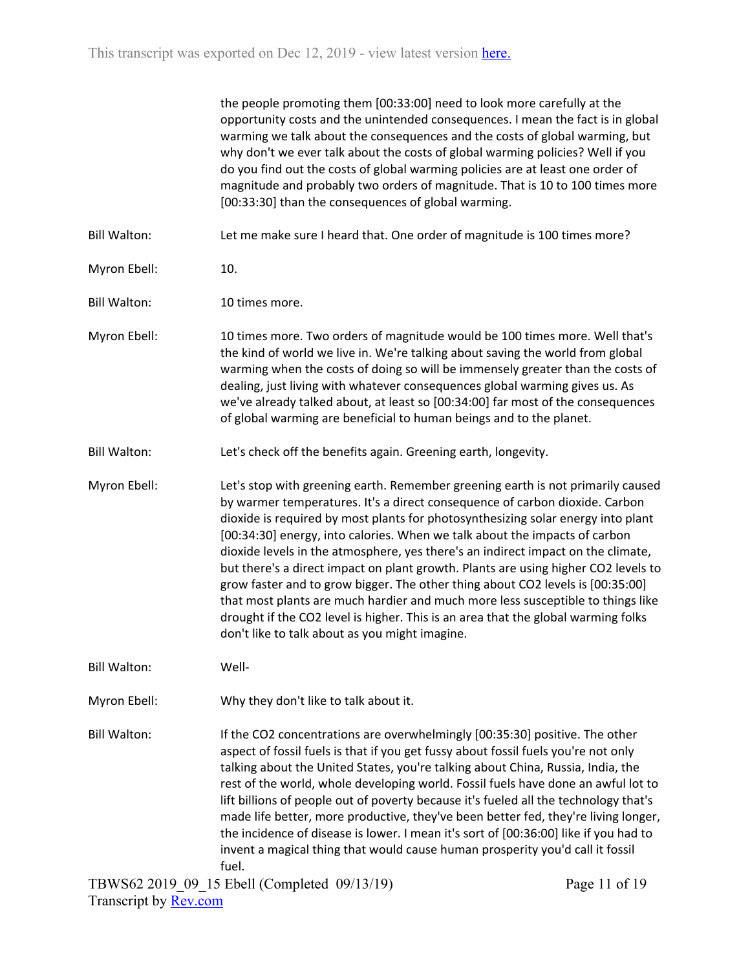|                     | the people promoting them [00:33:00] need to look more carefully at the<br>opportunity costs and the unintended consequences. I mean the fact is in global<br>warming we talk about the consequences and the costs of global warming, but<br>why don't we ever talk about the costs of global warming policies? Well if you<br>do you find out the costs of global warming policies are at least one order of<br>magnitude and probably two orders of magnitude. That is 10 to 100 times more<br>[00:33:30] than the consequences of global warming.                                                                                                                                                                                                                                                                   |               |
|---------------------|------------------------------------------------------------------------------------------------------------------------------------------------------------------------------------------------------------------------------------------------------------------------------------------------------------------------------------------------------------------------------------------------------------------------------------------------------------------------------------------------------------------------------------------------------------------------------------------------------------------------------------------------------------------------------------------------------------------------------------------------------------------------------------------------------------------------|---------------|
| <b>Bill Walton:</b> | Let me make sure I heard that. One order of magnitude is 100 times more?                                                                                                                                                                                                                                                                                                                                                                                                                                                                                                                                                                                                                                                                                                                                               |               |
| Myron Ebell:        | 10.                                                                                                                                                                                                                                                                                                                                                                                                                                                                                                                                                                                                                                                                                                                                                                                                                    |               |
| <b>Bill Walton:</b> | 10 times more.                                                                                                                                                                                                                                                                                                                                                                                                                                                                                                                                                                                                                                                                                                                                                                                                         |               |
| Myron Ebell:        | 10 times more. Two orders of magnitude would be 100 times more. Well that's<br>the kind of world we live in. We're talking about saving the world from global<br>warming when the costs of doing so will be immensely greater than the costs of<br>dealing, just living with whatever consequences global warming gives us. As<br>we've already talked about, at least so [00:34:00] far most of the consequences<br>of global warming are beneficial to human beings and to the planet.                                                                                                                                                                                                                                                                                                                               |               |
| <b>Bill Walton:</b> | Let's check off the benefits again. Greening earth, longevity.                                                                                                                                                                                                                                                                                                                                                                                                                                                                                                                                                                                                                                                                                                                                                         |               |
| Myron Ebell:        | Let's stop with greening earth. Remember greening earth is not primarily caused<br>by warmer temperatures. It's a direct consequence of carbon dioxide. Carbon<br>dioxide is required by most plants for photosynthesizing solar energy into plant<br>[00:34:30] energy, into calories. When we talk about the impacts of carbon<br>dioxide levels in the atmosphere, yes there's an indirect impact on the climate,<br>but there's a direct impact on plant growth. Plants are using higher CO2 levels to<br>grow faster and to grow bigger. The other thing about CO2 levels is [00:35:00]<br>that most plants are much hardier and much more less susceptible to things like<br>drought if the CO2 level is higher. This is an area that the global warming folks<br>don't like to talk about as you might imagine. |               |
| <b>Bill Walton:</b> | Well-                                                                                                                                                                                                                                                                                                                                                                                                                                                                                                                                                                                                                                                                                                                                                                                                                  |               |
| Myron Ebell:        | Why they don't like to talk about it.                                                                                                                                                                                                                                                                                                                                                                                                                                                                                                                                                                                                                                                                                                                                                                                  |               |
| <b>Bill Walton:</b> | If the CO2 concentrations are overwhelmingly [00:35:30] positive. The other<br>aspect of fossil fuels is that if you get fussy about fossil fuels you're not only<br>talking about the United States, you're talking about China, Russia, India, the<br>rest of the world, whole developing world. Fossil fuels have done an awful lot to<br>lift billions of people out of poverty because it's fueled all the technology that's<br>made life better, more productive, they've been better fed, they're living longer,<br>the incidence of disease is lower. I mean it's sort of [00:36:00] like if you had to<br>invent a magical thing that would cause human prosperity you'd call it fossil                                                                                                                       |               |
|                     | fuel.<br>TBWS62 2019 09 15 Ebell (Completed 09/13/19)                                                                                                                                                                                                                                                                                                                                                                                                                                                                                                                                                                                                                                                                                                                                                                  | Page 11 of 19 |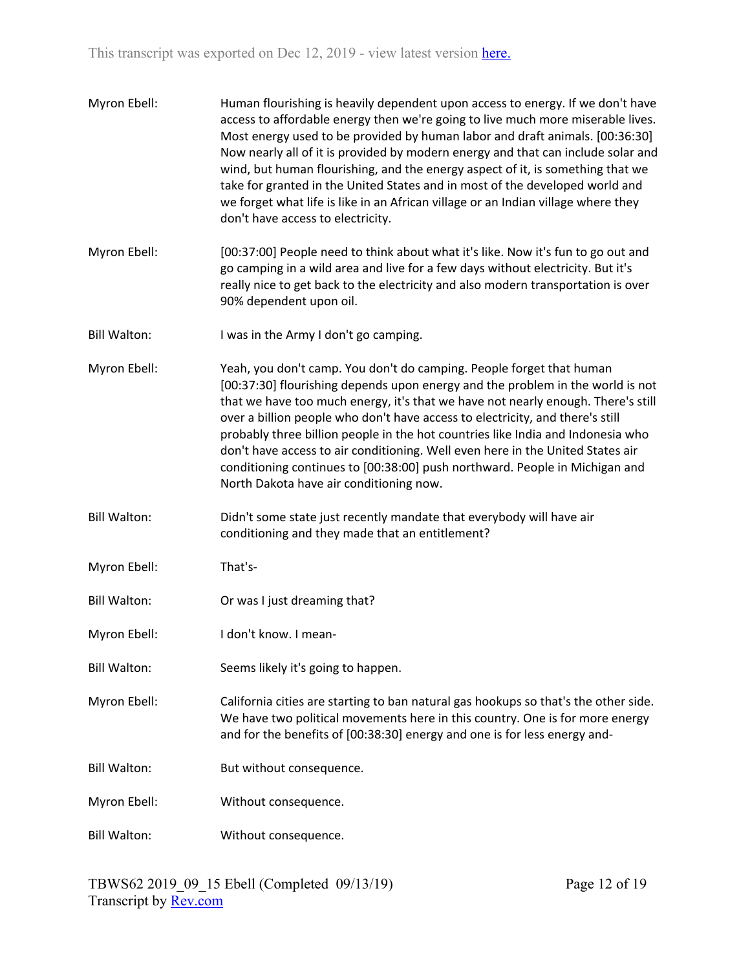| Myron Ebell:        | Human flourishing is heavily dependent upon access to energy. If we don't have<br>access to affordable energy then we're going to live much more miserable lives.<br>Most energy used to be provided by human labor and draft animals. [00:36:30]<br>Now nearly all of it is provided by modern energy and that can include solar and<br>wind, but human flourishing, and the energy aspect of it, is something that we<br>take for granted in the United States and in most of the developed world and<br>we forget what life is like in an African village or an Indian village where they<br>don't have access to electricity. |
|---------------------|-----------------------------------------------------------------------------------------------------------------------------------------------------------------------------------------------------------------------------------------------------------------------------------------------------------------------------------------------------------------------------------------------------------------------------------------------------------------------------------------------------------------------------------------------------------------------------------------------------------------------------------|
| Myron Ebell:        | [00:37:00] People need to think about what it's like. Now it's fun to go out and<br>go camping in a wild area and live for a few days without electricity. But it's<br>really nice to get back to the electricity and also modern transportation is over<br>90% dependent upon oil.                                                                                                                                                                                                                                                                                                                                               |
| <b>Bill Walton:</b> | I was in the Army I don't go camping.                                                                                                                                                                                                                                                                                                                                                                                                                                                                                                                                                                                             |
| Myron Ebell:        | Yeah, you don't camp. You don't do camping. People forget that human<br>[00:37:30] flourishing depends upon energy and the problem in the world is not<br>that we have too much energy, it's that we have not nearly enough. There's still<br>over a billion people who don't have access to electricity, and there's still<br>probably three billion people in the hot countries like India and Indonesia who<br>don't have access to air conditioning. Well even here in the United States air<br>conditioning continues to [00:38:00] push northward. People in Michigan and<br>North Dakota have air conditioning now.        |
| <b>Bill Walton:</b> | Didn't some state just recently mandate that everybody will have air<br>conditioning and they made that an entitlement?                                                                                                                                                                                                                                                                                                                                                                                                                                                                                                           |
| Myron Ebell:        | That's-                                                                                                                                                                                                                                                                                                                                                                                                                                                                                                                                                                                                                           |
| <b>Bill Walton:</b> | Or was I just dreaming that?                                                                                                                                                                                                                                                                                                                                                                                                                                                                                                                                                                                                      |
| Myron Ebell:        | I don't know. I mean-                                                                                                                                                                                                                                                                                                                                                                                                                                                                                                                                                                                                             |
| <b>Bill Walton:</b> | Seems likely it's going to happen.                                                                                                                                                                                                                                                                                                                                                                                                                                                                                                                                                                                                |
| Myron Ebell:        | California cities are starting to ban natural gas hookups so that's the other side.<br>We have two political movements here in this country. One is for more energy<br>and for the benefits of [00:38:30] energy and one is for less energy and-                                                                                                                                                                                                                                                                                                                                                                                  |
| <b>Bill Walton:</b> | But without consequence.                                                                                                                                                                                                                                                                                                                                                                                                                                                                                                                                                                                                          |
| Myron Ebell:        | Without consequence.                                                                                                                                                                                                                                                                                                                                                                                                                                                                                                                                                                                                              |
| <b>Bill Walton:</b> | Without consequence.                                                                                                                                                                                                                                                                                                                                                                                                                                                                                                                                                                                                              |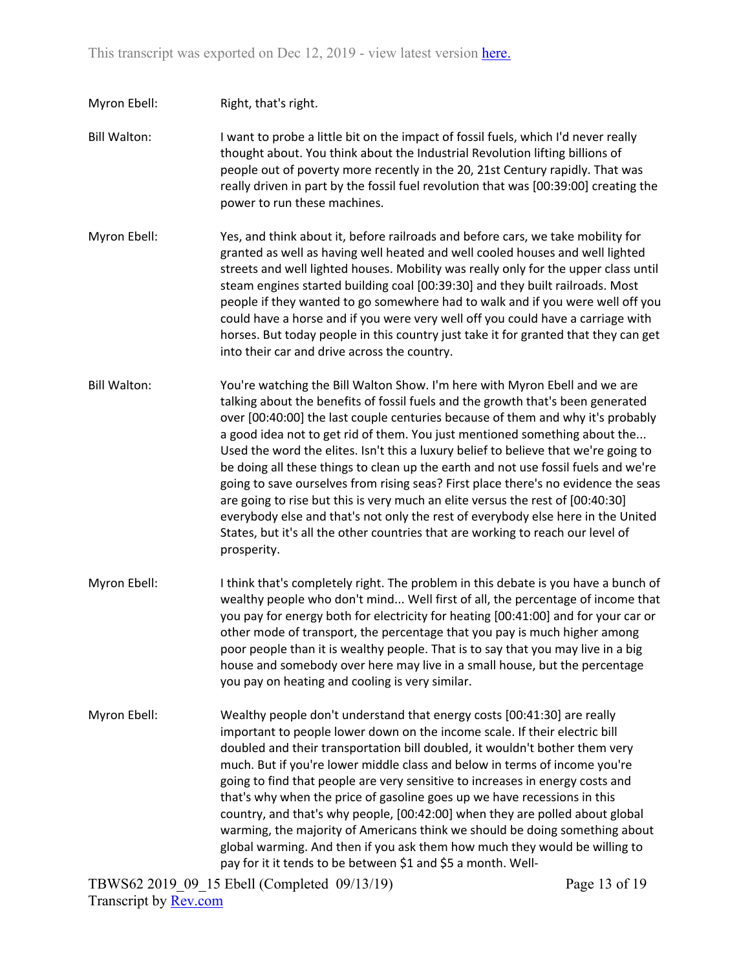- Myron Ebell: Right, that's right.
- Bill Walton: I want to probe a little bit on the impact of fossil fuels, which I'd never really thought about. You think about the Industrial Revolution lifting billions of people out of poverty more recently in the 20, 21st Century rapidly. That was really driven in part by the fossil fuel revolution that was [00:39:00] creating the power to run these machines.
- Myron Ebell: Yes, and think about it, before railroads and before cars, we take mobility for granted as well as having well heated and well cooled houses and well lighted streets and well lighted houses. Mobility was really only for the upper class until steam engines started building coal [00:39:30] and they built railroads. Most people if they wanted to go somewhere had to walk and if you were well off you could have a horse and if you were very well off you could have a carriage with horses. But today people in this country just take it for granted that they can get into their car and drive across the country.
- Bill Walton: You're watching the Bill Walton Show. I'm here with Myron Ebell and we are talking about the benefits of fossil fuels and the growth that's been generated over [00:40:00] the last couple centuries because of them and why it's probably a good idea not to get rid of them. You just mentioned something about the... Used the word the elites. Isn't this a luxury belief to believe that we're going to be doing all these things to clean up the earth and not use fossil fuels and we're going to save ourselves from rising seas? First place there's no evidence the seas are going to rise but this is very much an elite versus the rest of [00:40:30] everybody else and that's not only the rest of everybody else here in the United States, but it's all the other countries that are working to reach our level of prosperity.
- Myron Ebell: I think that's completely right. The problem in this debate is you have a bunch of wealthy people who don't mind... Well first of all, the percentage of income that you pay for energy both for electricity for heating [00:41:00] and for your car or other mode of transport, the percentage that you pay is much higher among poor people than it is wealthy people. That is to say that you may live in a big house and somebody over here may live in a small house, but the percentage you pay on heating and cooling is very similar.
- Myron Ebell: Wealthy people don't understand that energy costs [00:41:30] are really important to people lower down on the income scale. If their electric bill doubled and their transportation bill doubled, it wouldn't bother them very much. But if you're lower middle class and below in terms of income you're going to find that people are very sensitive to increases in energy costs and that's why when the price of gasoline goes up we have recessions in this country, and that's why people, [00:42:00] when they are polled about global warming, the majority of Americans think we should be doing something about global warming. And then if you ask them how much they would be willing to pay for it it tends to be between \$1 and \$5 a month. Well-

TBWS62 2019\_09\_15 Ebell (Completed 09/13/19) Transcript by [Rev.com](https://www.rev.com/)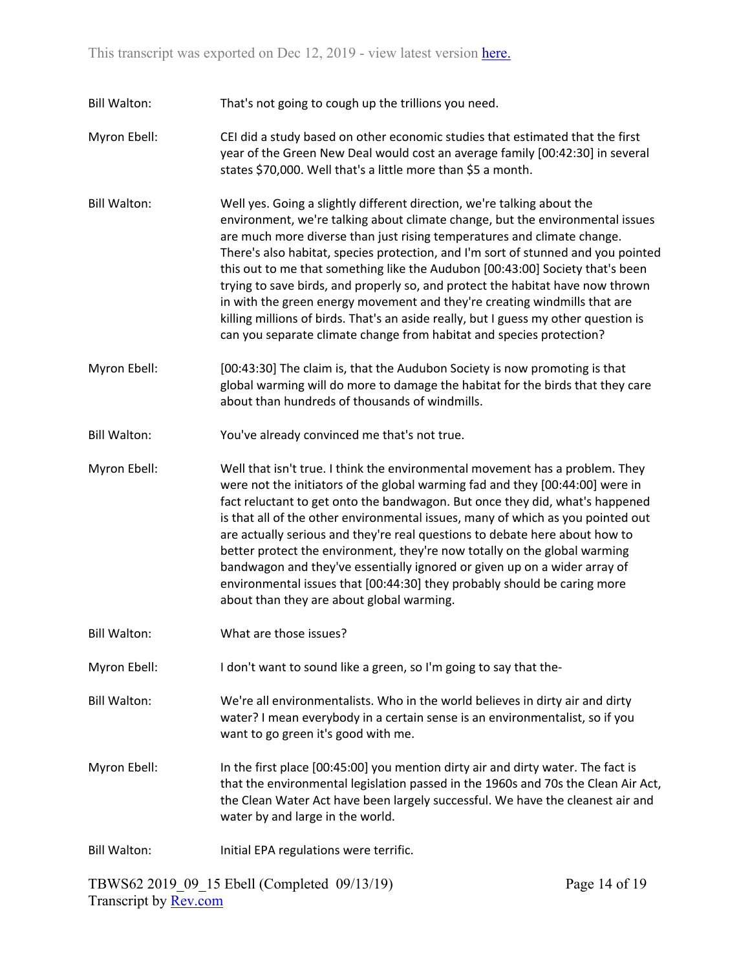Bill Walton: That's not going to cough up the trillions you need.

- Myron Ebell: CEI did a study based on other economic studies that estimated that the first year of the Green New Deal would cost an average family [00:42:30] in several states \$70,000. Well that's a little more than \$5 a month.
- Bill Walton: Well yes. Going a slightly different direction, we're talking about the environment, we're talking about climate change, but the environmental issues are much more diverse than just rising temperatures and climate change. There's also habitat, species protection, and I'm sort of stunned and you pointed this out to me that something like the Audubon [00:43:00] Society that's been trying to save birds, and properly so, and protect the habitat have now thrown in with the green energy movement and they're creating windmills that are killing millions of birds. That's an aside really, but I guess my other question is can you separate climate change from habitat and species protection?
- Myron Ebell: [00:43:30] The claim is, that the Audubon Society is now promoting is that global warming will do more to damage the habitat for the birds that they care about than hundreds of thousands of windmills.
- Bill Walton: You've already convinced me that's not true.
- Myron Ebell: Well that isn't true. I think the environmental movement has a problem. They were not the initiators of the global warming fad and they [00:44:00] were in fact reluctant to get onto the bandwagon. But once they did, what's happened is that all of the other environmental issues, many of which as you pointed out are actually serious and they're real questions to debate here about how to better protect the environment, they're now totally on the global warming bandwagon and they've essentially ignored or given up on a wider array of environmental issues that [00:44:30] they probably should be caring more about than they are about global warming.
- Bill Walton: What are those issues?
- Myron Ebell: I don't want to sound like a green, so I'm going to say that the-

Bill Walton: We're all environmentalists. Who in the world believes in dirty air and dirty water? I mean everybody in a certain sense is an environmentalist, so if you want to go green it's good with me.

Myron Ebell: In the first place [00:45:00] you mention dirty air and dirty water. The fact is that the environmental legislation passed in the 1960s and 70s the Clean Air Act, the Clean Water Act have been largely successful. We have the cleanest air and water by and large in the world.

Bill Walton: Initial EPA regulations were terrific.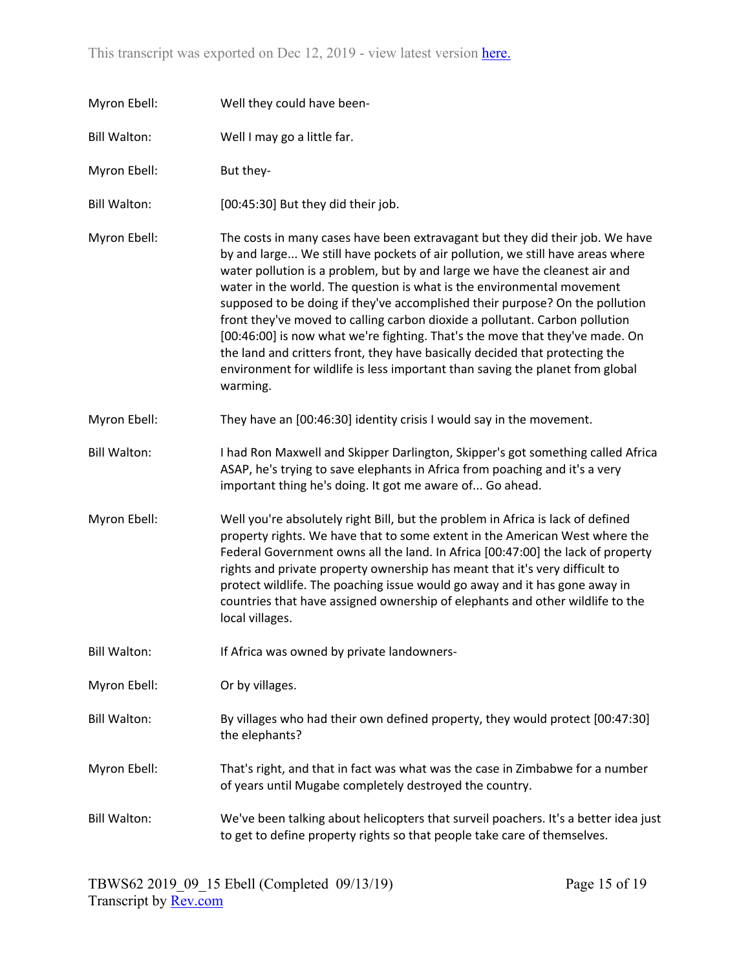| Myron Ebell:        | Well they could have been-                                                                                                                                                                                                                                                                                                                                                                                                                                                                                                                                                                                                                                                                                                                           |
|---------------------|------------------------------------------------------------------------------------------------------------------------------------------------------------------------------------------------------------------------------------------------------------------------------------------------------------------------------------------------------------------------------------------------------------------------------------------------------------------------------------------------------------------------------------------------------------------------------------------------------------------------------------------------------------------------------------------------------------------------------------------------------|
| <b>Bill Walton:</b> | Well I may go a little far.                                                                                                                                                                                                                                                                                                                                                                                                                                                                                                                                                                                                                                                                                                                          |
| Myron Ebell:        | But they-                                                                                                                                                                                                                                                                                                                                                                                                                                                                                                                                                                                                                                                                                                                                            |
| <b>Bill Walton:</b> | [00:45:30] But they did their job.                                                                                                                                                                                                                                                                                                                                                                                                                                                                                                                                                                                                                                                                                                                   |
| Myron Ebell:        | The costs in many cases have been extravagant but they did their job. We have<br>by and large We still have pockets of air pollution, we still have areas where<br>water pollution is a problem, but by and large we have the cleanest air and<br>water in the world. The question is what is the environmental movement<br>supposed to be doing if they've accomplished their purpose? On the pollution<br>front they've moved to calling carbon dioxide a pollutant. Carbon pollution<br>[00:46:00] is now what we're fighting. That's the move that they've made. On<br>the land and critters front, they have basically decided that protecting the<br>environment for wildlife is less important than saving the planet from global<br>warming. |
| Myron Ebell:        | They have an [00:46:30] identity crisis I would say in the movement.                                                                                                                                                                                                                                                                                                                                                                                                                                                                                                                                                                                                                                                                                 |
| <b>Bill Walton:</b> | I had Ron Maxwell and Skipper Darlington, Skipper's got something called Africa<br>ASAP, he's trying to save elephants in Africa from poaching and it's a very<br>important thing he's doing. It got me aware of Go ahead.                                                                                                                                                                                                                                                                                                                                                                                                                                                                                                                           |
| Myron Ebell:        | Well you're absolutely right Bill, but the problem in Africa is lack of defined<br>property rights. We have that to some extent in the American West where the<br>Federal Government owns all the land. In Africa [00:47:00] the lack of property<br>rights and private property ownership has meant that it's very difficult to<br>protect wildlife. The poaching issue would go away and it has gone away in<br>countries that have assigned ownership of elephants and other wildlife to the<br>local villages.                                                                                                                                                                                                                                   |
| <b>Bill Walton:</b> | If Africa was owned by private landowners-                                                                                                                                                                                                                                                                                                                                                                                                                                                                                                                                                                                                                                                                                                           |
| Myron Ebell:        | Or by villages.                                                                                                                                                                                                                                                                                                                                                                                                                                                                                                                                                                                                                                                                                                                                      |
| <b>Bill Walton:</b> | By villages who had their own defined property, they would protect [00:47:30]<br>the elephants?                                                                                                                                                                                                                                                                                                                                                                                                                                                                                                                                                                                                                                                      |
| Myron Ebell:        | That's right, and that in fact was what was the case in Zimbabwe for a number<br>of years until Mugabe completely destroyed the country.                                                                                                                                                                                                                                                                                                                                                                                                                                                                                                                                                                                                             |
| <b>Bill Walton:</b> | We've been talking about helicopters that surveil poachers. It's a better idea just<br>to get to define property rights so that people take care of themselves.                                                                                                                                                                                                                                                                                                                                                                                                                                                                                                                                                                                      |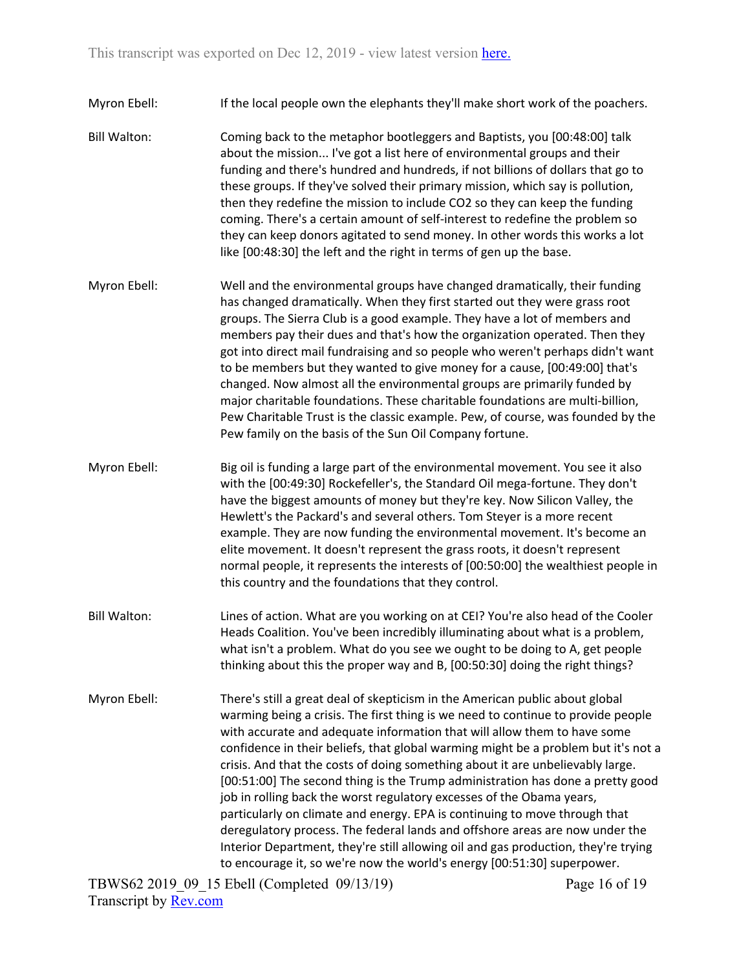Myron Ebell: If the local people own the elephants they'll make short work of the poachers.

- Bill Walton: Coming back to the metaphor bootleggers and Baptists, you [00:48:00] talk about the mission... I've got a list here of environmental groups and their funding and there's hundred and hundreds, if not billions of dollars that go to these groups. If they've solved their primary mission, which say is pollution, then they redefine the mission to include CO2 so they can keep the funding coming. There's a certain amount of self-interest to redefine the problem so they can keep donors agitated to send money. In other words this works a lot like [00:48:30] the left and the right in terms of gen up the base.
- Myron Ebell: Well and the environmental groups have changed dramatically, their funding has changed dramatically. When they first started out they were grass root groups. The Sierra Club is a good example. They have a lot of members and members pay their dues and that's how the organization operated. Then they got into direct mail fundraising and so people who weren't perhaps didn't want to be members but they wanted to give money for a cause, [00:49:00] that's changed. Now almost all the environmental groups are primarily funded by major charitable foundations. These charitable foundations are multi-billion, Pew Charitable Trust is the classic example. Pew, of course, was founded by the Pew family on the basis of the Sun Oil Company fortune.
- Myron Ebell: Big oil is funding a large part of the environmental movement. You see it also with the [00:49:30] Rockefeller's, the Standard Oil mega-fortune. They don't have the biggest amounts of money but they're key. Now Silicon Valley, the Hewlett's the Packard's and several others. Tom Steyer is a more recent example. They are now funding the environmental movement. It's become an elite movement. It doesn't represent the grass roots, it doesn't represent normal people, it represents the interests of [00:50:00] the wealthiest people in this country and the foundations that they control.
- Bill Walton: Lines of action. What are you working on at CEI? You're also head of the Cooler Heads Coalition. You've been incredibly illuminating about what is a problem, what isn't a problem. What do you see we ought to be doing to A, get people thinking about this the proper way and B, [00:50:30] doing the right things?
- Myron Ebell: There's still a great deal of skepticism in the American public about global warming being a crisis. The first thing is we need to continue to provide people with accurate and adequate information that will allow them to have some confidence in their beliefs, that global warming might be a problem but it's not a crisis. And that the costs of doing something about it are unbelievably large. [00:51:00] The second thing is the Trump administration has done a pretty good job in rolling back the worst regulatory excesses of the Obama years, particularly on climate and energy. EPA is continuing to move through that deregulatory process. The federal lands and offshore areas are now under the Interior Department, they're still allowing oil and gas production, they're trying to encourage it, so we're now the world's energy [00:51:30] superpower.

TBWS62 2019\_09\_15 Ebell (Completed 09/13/19) Transcript by [Rev.com](https://www.rev.com/)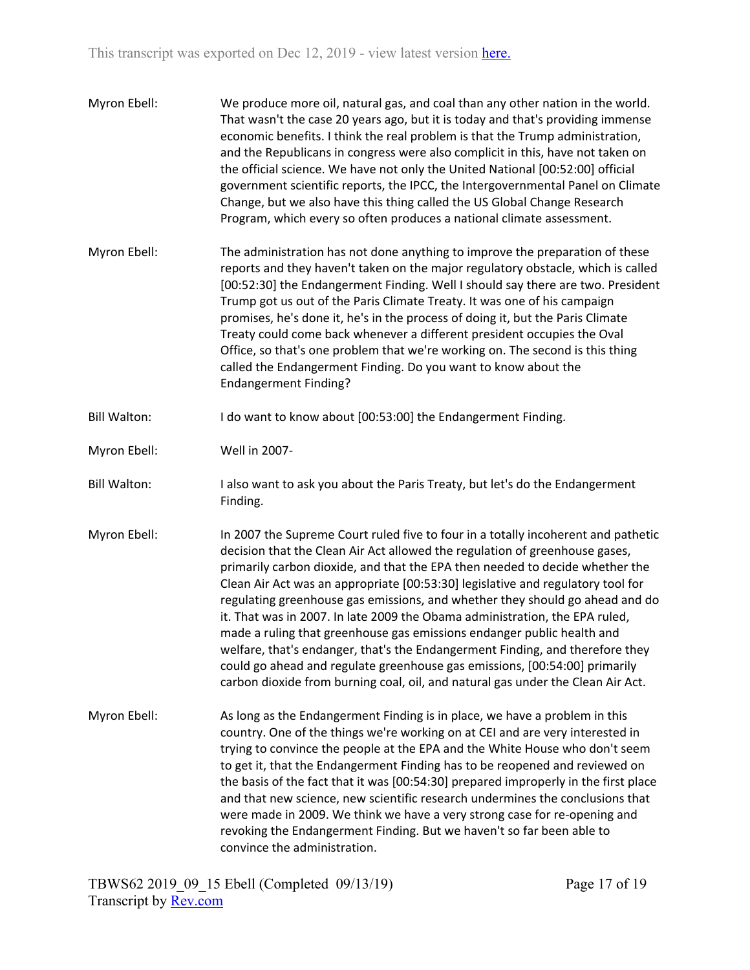| Myron Ebell:        | We produce more oil, natural gas, and coal than any other nation in the world.<br>That wasn't the case 20 years ago, but it is today and that's providing immense<br>economic benefits. I think the real problem is that the Trump administration,<br>and the Republicans in congress were also complicit in this, have not taken on<br>the official science. We have not only the United National [00:52:00] official<br>government scientific reports, the IPCC, the Intergovernmental Panel on Climate<br>Change, but we also have this thing called the US Global Change Research<br>Program, which every so often produces a national climate assessment.                                                                                                                                                                 |
|---------------------|--------------------------------------------------------------------------------------------------------------------------------------------------------------------------------------------------------------------------------------------------------------------------------------------------------------------------------------------------------------------------------------------------------------------------------------------------------------------------------------------------------------------------------------------------------------------------------------------------------------------------------------------------------------------------------------------------------------------------------------------------------------------------------------------------------------------------------|
| Myron Ebell:        | The administration has not done anything to improve the preparation of these<br>reports and they haven't taken on the major regulatory obstacle, which is called<br>[00:52:30] the Endangerment Finding. Well I should say there are two. President<br>Trump got us out of the Paris Climate Treaty. It was one of his campaign<br>promises, he's done it, he's in the process of doing it, but the Paris Climate<br>Treaty could come back whenever a different president occupies the Oval<br>Office, so that's one problem that we're working on. The second is this thing<br>called the Endangerment Finding. Do you want to know about the<br><b>Endangerment Finding?</b>                                                                                                                                                |
| <b>Bill Walton:</b> | I do want to know about [00:53:00] the Endangerment Finding.                                                                                                                                                                                                                                                                                                                                                                                                                                                                                                                                                                                                                                                                                                                                                                   |
| Myron Ebell:        | Well in 2007-                                                                                                                                                                                                                                                                                                                                                                                                                                                                                                                                                                                                                                                                                                                                                                                                                  |
| <b>Bill Walton:</b> | I also want to ask you about the Paris Treaty, but let's do the Endangerment<br>Finding.                                                                                                                                                                                                                                                                                                                                                                                                                                                                                                                                                                                                                                                                                                                                       |
| Myron Ebell:        | In 2007 the Supreme Court ruled five to four in a totally incoherent and pathetic<br>decision that the Clean Air Act allowed the regulation of greenhouse gases,<br>primarily carbon dioxide, and that the EPA then needed to decide whether the<br>Clean Air Act was an appropriate [00:53:30] legislative and regulatory tool for<br>regulating greenhouse gas emissions, and whether they should go ahead and do<br>it. That was in 2007. In late 2009 the Obama administration, the EPA ruled,<br>made a ruling that greenhouse gas emissions endanger public health and<br>welfare, that's endanger, that's the Endangerment Finding, and therefore they<br>could go ahead and regulate greenhouse gas emissions, [00:54:00] primarily<br>carbon dioxide from burning coal, oil, and natural gas under the Clean Air Act. |
| Myron Ebell:        | As long as the Endangerment Finding is in place, we have a problem in this<br>country. One of the things we're working on at CEI and are very interested in<br>trying to convince the people at the EPA and the White House who don't seem<br>to get it, that the Endangerment Finding has to be reopened and reviewed on<br>the basis of the fact that it was [00:54:30] prepared improperly in the first place<br>and that new science, new scientific research undermines the conclusions that<br>were made in 2009. We think we have a very strong case for re-opening and<br>revoking the Endangerment Finding. But we haven't so far been able to<br>convince the administration.                                                                                                                                        |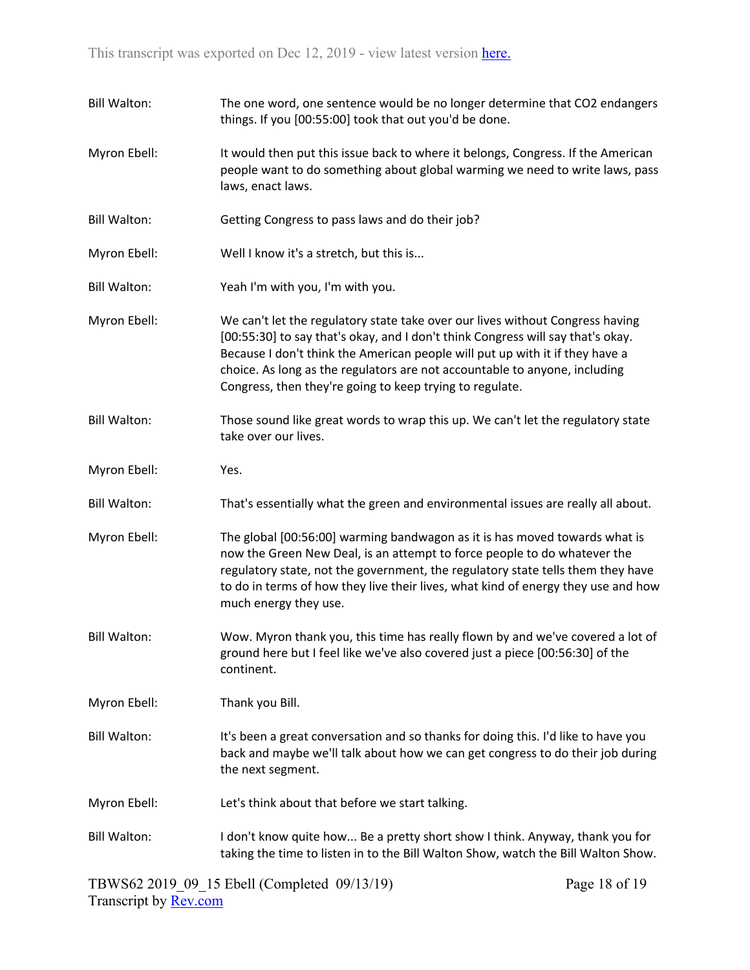| <b>Bill Walton:</b> | The one word, one sentence would be no longer determine that CO2 endangers<br>things. If you [00:55:00] took that out you'd be done.                                                                                                                                                                                                                                                       |
|---------------------|--------------------------------------------------------------------------------------------------------------------------------------------------------------------------------------------------------------------------------------------------------------------------------------------------------------------------------------------------------------------------------------------|
| Myron Ebell:        | It would then put this issue back to where it belongs, Congress. If the American<br>people want to do something about global warming we need to write laws, pass<br>laws, enact laws.                                                                                                                                                                                                      |
| <b>Bill Walton:</b> | Getting Congress to pass laws and do their job?                                                                                                                                                                                                                                                                                                                                            |
| Myron Ebell:        | Well I know it's a stretch, but this is                                                                                                                                                                                                                                                                                                                                                    |
| <b>Bill Walton:</b> | Yeah I'm with you, I'm with you.                                                                                                                                                                                                                                                                                                                                                           |
| Myron Ebell:        | We can't let the regulatory state take over our lives without Congress having<br>[00:55:30] to say that's okay, and I don't think Congress will say that's okay.<br>Because I don't think the American people will put up with it if they have a<br>choice. As long as the regulators are not accountable to anyone, including<br>Congress, then they're going to keep trying to regulate. |
| <b>Bill Walton:</b> | Those sound like great words to wrap this up. We can't let the regulatory state<br>take over our lives.                                                                                                                                                                                                                                                                                    |
| Myron Ebell:        | Yes.                                                                                                                                                                                                                                                                                                                                                                                       |
| <b>Bill Walton:</b> | That's essentially what the green and environmental issues are really all about.                                                                                                                                                                                                                                                                                                           |
| Myron Ebell:        | The global [00:56:00] warming bandwagon as it is has moved towards what is<br>now the Green New Deal, is an attempt to force people to do whatever the<br>regulatory state, not the government, the regulatory state tells them they have<br>to do in terms of how they live their lives, what kind of energy they use and how<br>much energy they use.                                    |
| <b>Bill Walton:</b> | Wow. Myron thank you, this time has really flown by and we've covered a lot of<br>ground here but I feel like we've also covered just a piece [00:56:30] of the<br>continent.                                                                                                                                                                                                              |
| Myron Ebell:        | Thank you Bill.                                                                                                                                                                                                                                                                                                                                                                            |
| <b>Bill Walton:</b> | It's been a great conversation and so thanks for doing this. I'd like to have you<br>back and maybe we'll talk about how we can get congress to do their job during<br>the next segment.                                                                                                                                                                                                   |
| Myron Ebell:        | Let's think about that before we start talking.                                                                                                                                                                                                                                                                                                                                            |
| <b>Bill Walton:</b> | I don't know quite how Be a pretty short show I think. Anyway, thank you for<br>taking the time to listen in to the Bill Walton Show, watch the Bill Walton Show.                                                                                                                                                                                                                          |